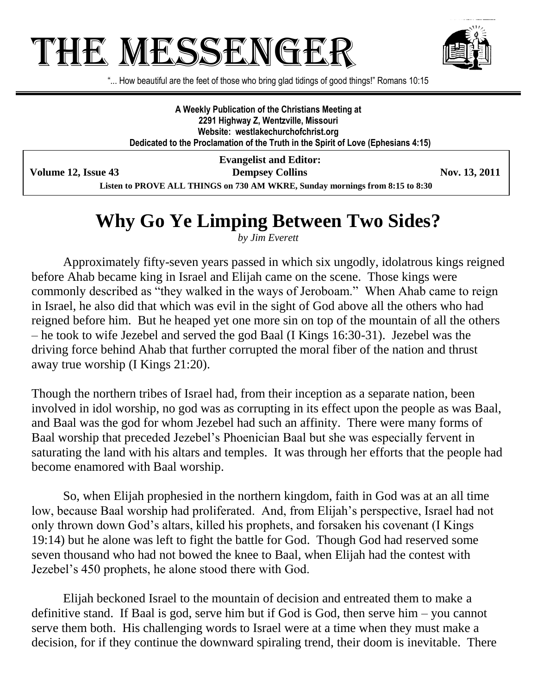## THE MESSENGE



"... How beautiful are the feet of those who bring glad tidings of good things!" Romans 10:15

**A Weekly Publication of the Christians Meeting at 2291 Highway Z, Wentzville, Missouri Website: westlakechurchofchrist.org Dedicated to the Proclamation of the Truth in the Spirit of Love (Ephesians 4:15)**

**Evangelist and Editor: Volume 12, Issue 43 Dempsey Collins Nov. 13, 2011**

**Listen to PROVE ALL THINGS on 730 AM WKRE, Sunday mornings from 8:15 to 8:30**

## **Why Go Ye Limping Between Two Sides?**

*by Jim Everett*

Approximately fifty-seven years passed in which six ungodly, idolatrous kings reigned before Ahab became king in Israel and Elijah came on the scene. Those kings were commonly described as "they walked in the ways of Jeroboam." When Ahab came to reign in Israel, he also did that which was evil in the sight of God above all the others who had reigned before him. But he heaped yet one more sin on top of the mountain of all the others – he took to wife Jezebel and served the god Baal (I Kings 16:30-31). Jezebel was the driving force behind Ahab that further corrupted the moral fiber of the nation and thrust away true worship (I Kings 21:20).

Though the northern tribes of Israel had, from their inception as a separate nation, been involved in idol worship, no god was as corrupting in its effect upon the people as was Baal, and Baal was the god for whom Jezebel had such an affinity. There were many forms of Baal worship that preceded Jezebel's Phoenician Baal but she was especially fervent in saturating the land with his altars and temples. It was through her efforts that the people had become enamored with Baal worship.

So, when Elijah prophesied in the northern kingdom, faith in God was at an all time low, because Baal worship had proliferated. And, from Elijah's perspective, Israel had not only thrown down God's altars, killed his prophets, and forsaken his covenant (I Kings 19:14) but he alone was left to fight the battle for God. Though God had reserved some seven thousand who had not bowed the knee to Baal, when Elijah had the contest with Jezebel's 450 prophets, he alone stood there with God.

Elijah beckoned Israel to the mountain of decision and entreated them to make a definitive stand. If Baal is god, serve him but if God is God, then serve him – you cannot serve them both. His challenging words to Israel were at a time when they must make a decision, for if they continue the downward spiraling trend, their doom is inevitable. There